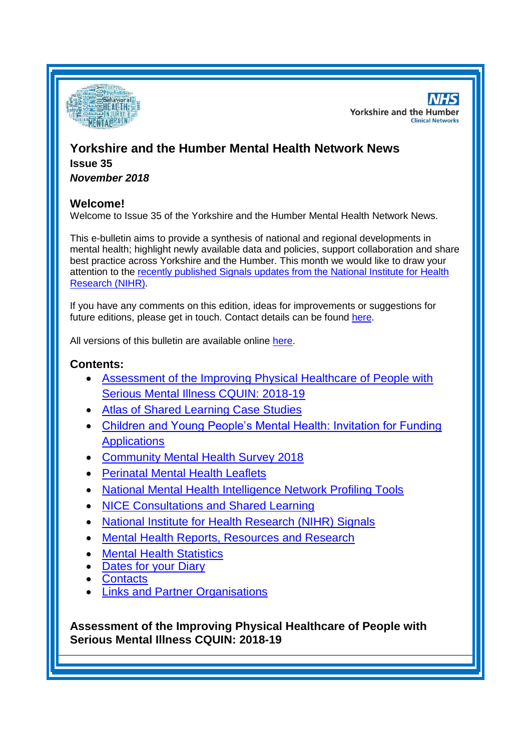

**NHS Yorkshire and the Humber Clinical Networks** 

# **Yorkshire and the Humber Mental Health Network News Issue 35**

*November 2018*

#### **Welcome!**

Welcome to Issue 35 of the Yorkshire and the Humber Mental Health Network News.

This e-bulletin aims to provide a synthesis of national and regional developments in mental health; highlight newly available data and policies, support collaboration and share best practice across Yorkshire and the Humber. This month we would like to draw your attention to the [recently published Signals updates from the National Institute for Health](#page-2-0)  [Research \(NIHR\).](#page-2-0)

If you have any comments on this edition, ideas for improvements or suggestions for future editions, please get in touch. Contact details can be found [here.](#page-6-0)

All versions of this bulletin are available online [here.](http://www.yhscn.nhs.uk/mental-health-clinic/mental-health-network/MH-documents-and-links.php)

### **Contents:**

- [Assessment of the Improving Physical Healthcare of People with](#page-0-0)  [Serious Mental Illness CQUIN: 2018-19](#page-0-0)
- [Atlas of Shared Learning Case Studies](#page-1-0)
- [Children and Young People's Mental Health: Invitation for Funding](#page-1-1)  **[Applications](#page-1-1)**
- [Community Mental Health Survey 2018](#page-1-2)
- [Perinatal Mental Health Leaflets](#page-1-2)
- [National Mental Health Intelligence Network Profiling Tools](#page-0-1)
- [NICE Consultations and Shared Learning](#page-2-1)
- [National Institute for Health Research \(NIHR\) Signals](#page-2-0)
- [Mental Health Reports, Resources and Research](#page-0-1)
- **[Mental Health Statistics](#page-4-0)**
- [Dates for your Diary](#page-4-1)
- **[Contacts](#page-6-0)**
- [Links and Partner Organisations](#page-6-1)

<span id="page-0-1"></span><span id="page-0-0"></span>**Assessment of the Improving Physical Healthcare of People with Serious Mental Illness CQUIN: 2018-19**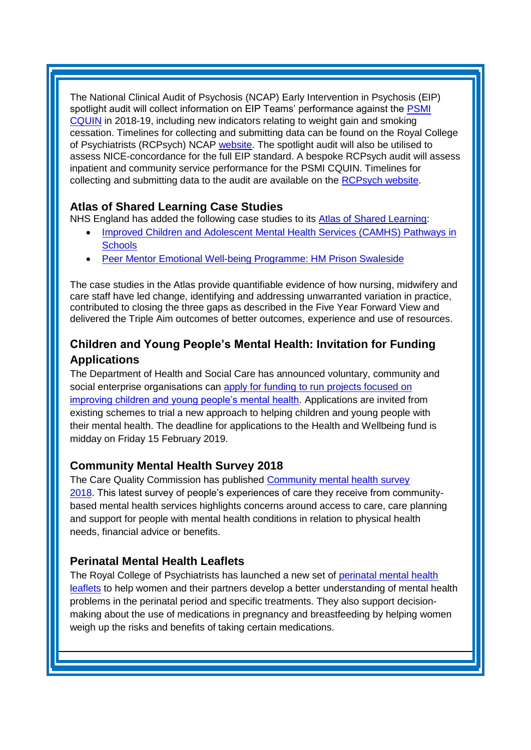The National Clinical Audit of Psychosis (NCAP) Early Intervention in Psychosis (EIP) spotlight audit will collect information on EIP Teams' performance against the PSMI [CQUIN](https://ccgbulletin.cmail19.com/t/d-l-njyhrn-cdyegjt-t/) in 2018-19, including new indicators relating to weight gain and smoking cessation. Timelines for collecting and submitting data can be found on the Royal College of Psychiatrists (RCPsych) NCAP [website.](https://ccgbulletin.cmail19.com/t/d-l-njyhrn-cdyegjt-i/) The spotlight audit will also be utilised to assess NICE-concordance for the full EIP standard. A bespoke RCPsych audit will assess inpatient and community service performance for the PSMI CQUIN. Timelines for collecting and submitting data to the audit are available on the [RCPsych website.](https://ccgbulletin.cmail19.com/t/d-l-njyhrn-cdyegjt-d/)

### <span id="page-1-0"></span>**Atlas of Shared Learning Case Studies**

NHS England has added the following case studies to its [Atlas of Shared Learning:](https://www.england.nhs.uk/leadingchange/atlas-of-shared-learning/)

- Improved Children and Adolescent Mental Health Services (CAMHS) Pathways in **[Schools](https://www.england.nhs.uk/atlas_case_study/improved-children-and-adolescent-mental-health-services-camhs-pathways-in-schools/)**
- [Peer Mentor Emotional Well-being Programme: HM Prison Swaleside](https://www.england.nhs.uk/atlas_case_study/peer-mentor-emotional-well-being-programme-hm-prison-swaleside/)

The case studies in the Atlas provide quantifiable evidence of how nursing, midwifery and care staff have led change, identifying and addressing unwarranted variation in practice, contributed to closing the three gaps as described in the Five Year Forward View and delivered the Triple Aim outcomes of better outcomes, experience and use of resources.

# <span id="page-1-1"></span>**Children and Young People's Mental Health: Invitation for Funding Applications**

The Department of Health and Social Care has announced voluntary, community and social enterprise organisations can [apply for funding to run](https://www.gov.uk/government/publications/vcse-health-and-wellbeing-fund-2019-to-2020-how-to-apply) projects focused on [improving children and young people's mental health.](https://www.gov.uk/government/publications/vcse-health-and-wellbeing-fund-2019-to-2020-how-to-apply) Applications are invited from existing schemes to trial a new approach to helping children and young people with their mental health. The deadline for applications to the Health and Wellbeing fund is midday on Friday 15 February 2019.

## <span id="page-1-2"></span>**Community Mental Health Survey 2018**

The Care Quality Commission has published Community mental health survey [2018.](https://www.cqc.org.uk/publications/surveys/community-mental-health-survey-2018?pr=) This latest survey of people's experiences of care they receive from communitybased mental health services highlights concerns around access to care, care planning and support for people with mental health conditions in relation to physical health needs, financial advice or benefits.

### **Perinatal Mental Health Leaflets**

The Royal College of Psychiatrists has launched a new set of [perinatal mental health](https://www.rcpsych.ac.uk/news-and-features/latest-news/detail/2018/11/19/new-mental-health-guidance-launched-for-mothers-to-be-and-new-mothers)  [leaflets](https://www.rcpsych.ac.uk/news-and-features/latest-news/detail/2018/11/19/new-mental-health-guidance-launched-for-mothers-to-be-and-new-mothers) to help women and their partners develop a better understanding of mental health problems in the perinatal period and specific treatments. They also support decisionmaking about the use of medications in pregnancy and breastfeeding by helping women weigh up the risks and benefits of taking certain medications.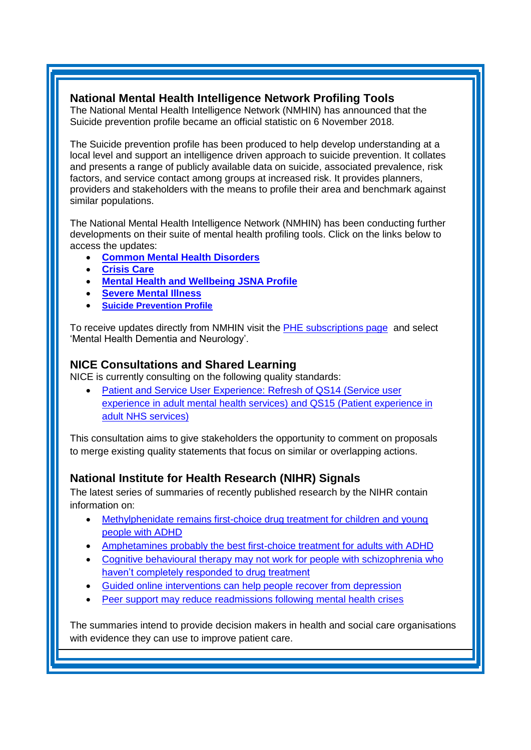### **National Mental Health Intelligence Network Profiling Tools**

The National Mental Health Intelligence Network (NMHIN) has announced that the Suicide prevention profile became an official statistic on 6 November 2018.

The Suicide prevention profile has been produced to help develop understanding at a local level and support an intelligence driven approach to suicide prevention. It collates and presents a range of publicly available data on suicide, associated prevalence, risk factors, and service contact among groups at increased risk. It provides planners, providers and stakeholders with the means to profile their area and benchmark against similar populations.

The National Mental Health Intelligence Network (NMHIN) has been conducting further developments on their suite of mental health profiling tools. Click on the links below to access the updates:

- **[Common Mental Health Disorders](http://links.govdelivery.com/track?type=click&enid=ZWFzPTEmbXNpZD0mYXVpZD0mbWFpbGluZ2lkPTIwMTcxMjA1LjgxOTE2MDgxJm1lc3NhZ2VpZD1NREItUFJELUJVTC0yMDE3MTIwNS44MTkxNjA4MSZkYXRhYmFzZWlkPTEwMDEmc2VyaWFsPTE2OTcwMTE4JmVtYWlsaWQ9c2FyYWguYm91bEBuaHMubmV0JnVzZXJpZD1zYXJhaC5ib3VsQG5ocy5uZXQmdGFyZ2V0aWQ9JmZsPSZleHRyYT1NdWx0aXZhcmlhdGVJZD0mJiY=&&&104&&&https://fingertips.phe.org.uk/profile-group/mental-health/profile/common-mental-disorders)**
- **[Crisis Care](http://links.govdelivery.com/track?type=click&enid=ZWFzPTEmbXNpZD0mYXVpZD0mbWFpbGluZ2lkPTIwMTcxMjA1LjgxOTE2MDgxJm1lc3NhZ2VpZD1NREItUFJELUJVTC0yMDE3MTIwNS44MTkxNjA4MSZkYXRhYmFzZWlkPTEwMDEmc2VyaWFsPTE2OTcwMTE4JmVtYWlsaWQ9c2FyYWguYm91bEBuaHMubmV0JnVzZXJpZD1zYXJhaC5ib3VsQG5ocy5uZXQmdGFyZ2V0aWQ9JmZsPSZleHRyYT1NdWx0aXZhcmlhdGVJZD0mJiY=&&&105&&&https://fingertips.phe.org.uk/profile-group/mental-health/profile/crisis-care)**
- **[Mental Health and Wellbeing JSNA Profile](http://links.govdelivery.com/track?type=click&enid=ZWFzPTEmbXNpZD0mYXVpZD0mbWFpbGluZ2lkPTIwMTcxMjA1LjgxOTE2MDgxJm1lc3NhZ2VpZD1NREItUFJELUJVTC0yMDE3MTIwNS44MTkxNjA4MSZkYXRhYmFzZWlkPTEwMDEmc2VyaWFsPTE2OTcwMTE4JmVtYWlsaWQ9c2FyYWguYm91bEBuaHMubmV0JnVzZXJpZD1zYXJhaC5ib3VsQG5ocy5uZXQmdGFyZ2V0aWQ9JmZsPSZleHRyYT1NdWx0aXZhcmlhdGVJZD0mJiY=&&&106&&&https://fingertips.phe.org.uk/profile-group/mental-health/profile/mh-jsna)**
- **[Severe Mental Illness](http://links.govdelivery.com/track?type=click&enid=ZWFzPTEmbXNpZD0mYXVpZD0mbWFpbGluZ2lkPTIwMTcxMjA1LjgxOTE2MDgxJm1lc3NhZ2VpZD1NREItUFJELUJVTC0yMDE3MTIwNS44MTkxNjA4MSZkYXRhYmFzZWlkPTEwMDEmc2VyaWFsPTE2OTcwMTE4JmVtYWlsaWQ9c2FyYWguYm91bEBuaHMubmV0JnVzZXJpZD1zYXJhaC5ib3VsQG5ocy5uZXQmdGFyZ2V0aWQ9JmZsPSZleHRyYT1NdWx0aXZhcmlhdGVJZD0mJiY=&&&108&&&https://fingertips.phe.org.uk/profile-group/mental-health/profile/severe-mental-illness)**
- **[Suicide Prevention Profile](http://links.govdelivery.com/track?type=click&enid=ZWFzPTEmbXNpZD0mYXVpZD0mbWFpbGluZ2lkPTIwMTgwNjA1LjkwNzEwNzExJm1lc3NhZ2VpZD1NREItUFJELUJVTC0yMDE4MDYwNS45MDcxMDcxMSZkYXRhYmFzZWlkPTEwMDEmc2VyaWFsPTE3MDEzODU4JmVtYWlsaWQ9c2FyYWguYm91bEBuaHMubmV0JnVzZXJpZD1zYXJhaC5ib3VsQG5ocy5uZXQmdGFyZ2V0aWQ9JmZsPSZleHRyYT1NdWx0aXZhcmlhdGVJZD0mJiY=&&&104&&&https://fingertips.phe.org.uk/profile-group/mental-health/profile/suicide)**

To receive updates directly from NMHIN visit the [PHE subscriptions page](http://links.govdelivery.com/track?type=click&enid=ZWFzPTEmbXNpZD0mYXVpZD0mbWFpbGluZ2lkPTIwMTgwMjA3Ljg0OTY1MzgxJm1lc3NhZ2VpZD1NREItUFJELUJVTC0yMDE4MDIwNy44NDk2NTM4MSZkYXRhYmFzZWlkPTEwMDEmc2VyaWFsPTE2OTgzNDk5JmVtYWlsaWQ9c2FyYWguYm91bEBuaHMubmV0JnVzZXJpZD1zYXJhaC5ib3VsQG5ocy5uZXQmdGFyZ2V0aWQ9JmZsPSZleHRyYT1NdWx0aXZhcmlhdGVJZD0mJiY=&&&107&&&https://public.govdelivery.com/accounts/UKHPA/subscribers/new?preferences=true) and select 'Mental Health Dementia and Neurology'.

### <span id="page-2-1"></span>**NICE Consultations and Shared Learning**

NICE is currently consulting on the following quality standards:

 [Patient and Service User Experience: Refresh of QS14](https://www.nice.org.uk/guidance/indevelopment/gid-qs10131/consultation/html-content) (Service user [experience in adult mental health services\)](https://www.nice.org.uk/guidance/indevelopment/gid-qs10131/consultation/html-content) and QS15 (Patient experience in [adult NHS services\)](https://www.nice.org.uk/guidance/indevelopment/gid-qs10131/consultation/html-content)

This consultation aims to give stakeholders the opportunity to comment on proposals to merge existing quality statements that focus on similar or overlapping actions.

### <span id="page-2-0"></span>**National Institute for Health Research (NIHR) Signals**

The latest series of summaries of recently published research by the NIHR contain information on:

- [Methylphenidate remains first-choice drug treatment for children and young](https://discover.dc.nihr.ac.uk/content/signal-000671/methylphenidate-remains-first-choice-drug-treatment-for-children-and-young-people-with-adhd)  [people with ADHD](https://discover.dc.nihr.ac.uk/content/signal-000671/methylphenidate-remains-first-choice-drug-treatment-for-children-and-young-people-with-adhd)
- [Amphetamines probably the best first-choice treatment for adults with ADHD](https://discover.dc.nihr.ac.uk/content/signal-000668/amphetamines-probably-the-best-first-choice-treatment-for-adults-with-adhd)
- Cognitive behavioural therapy may not work for people with schizophrenia who [haven't completely responded to drug treatment](https://discover.dc.nihr.ac.uk/content/signal-000678/cbt-and-treatment-resistant-schizophrenia)
- [Guided online interventions can help people recover from depression](https://discover.dc.nihr.ac.uk/content/signal-000672/guided-online-interventions-can-help-people-recover-from-depression)
- [Peer support may reduce readmissions following mental health crises](https://discover.dc.nihr.ac.uk/content/signal-000673/mental-health-crisis-readmissions-may-reduce-with-peer-support)

The summaries intend to provide decision makers in health and social care organisations with evidence they can use to improve patient care.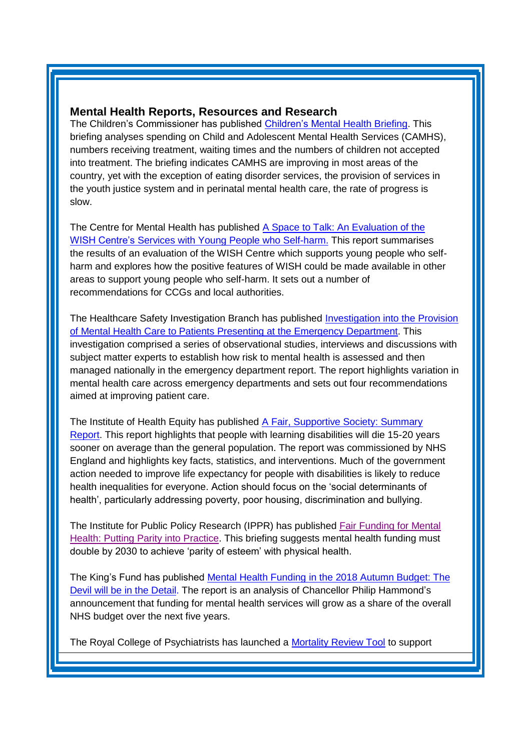#### **Mental Health Reports, Resources and Research**

The Children's Commissioner has published [Children's Mental Health Briefing.](https://www.childrenscommissioner.gov.uk/2018/11/22/analysis-shows-childrens-mental-health-services-are-showing-signs-of-improvement-but-a-seismic-shift-in-ambition-still-needed-to-meet-demand/) This briefing analyses spending on Child and Adolescent Mental Health Services (CAMHS), numbers receiving treatment, waiting times and the numbers of children not accepted into treatment. The briefing indicates CAMHS are improving in most areas of the country, yet with the exception of eating disorder services, the provision of services in the youth justice system and in perinatal mental health care, the rate of progress is slow.

The Centre for Mental Health has published [A Space to Talk: An Evaluation of the](https://www.centreformentalhealth.org.uk/a-space-to-talk)  [WISH Centre's Services with Young People who Self-harm.](https://www.centreformentalhealth.org.uk/a-space-to-talk) This report summarises the results of an evaluation of the WISH Centre which supports young people who selfharm and explores how the positive features of WISH could be made available in other areas to support young people who self-harm. It sets out a number of recommendations for CCGs and local authorities.

The Healthcare Safety Investigation Branch has published [Investigation into the Provision](https://www.hsib.org.uk/investigations-cases/provision-mental-health-services-emergency-departments/final-report/)  [of Mental Health Care to Patients Presenting at the Emergency Department.](https://www.hsib.org.uk/investigations-cases/provision-mental-health-services-emergency-departments/final-report/) This investigation comprised a series of observational studies, interviews and discussions with subject matter experts to establish how risk to mental health is assessed and then managed nationally in the emergency department report. The report highlights variation in mental health care across emergency departments and sets out four recommendations aimed at improving patient care.

The Institute of Health Equity has published [A Fair, Supportive Society: Summary](http://www.instituteofhealthequity.org/resources-reports/a-fair-supportive-society-summary-report)  [Report.](http://www.instituteofhealthequity.org/resources-reports/a-fair-supportive-society-summary-report) This report highlights that people with learning disabilities will die 15-20 years sooner on average than the general population. The report was commissioned by NHS England and highlights key facts, statistics, and interventions. Much of the government action needed to improve life expectancy for people with disabilities is likely to reduce health inequalities for everyone. Action should focus on the 'social determinants of health', particularly addressing poverty, poor housing, discrimination and bullying.

The Institute for Public Policy Research (IPPR) has published [Fair Funding for Mental](https://www.ippr.org/research/publications/fair-funding-for-mental-health)  [Health: Putting Parity into Practice.](https://www.ippr.org/research/publications/fair-funding-for-mental-health) This briefing suggests mental health funding must double by 2030 to achieve 'parity of esteem' with physical health.

The King's Fund has published Mental Health Funding in the 2018 Autumn Budget: The [Devil will be in the Detail.](https://www.kingsfund.org.uk/blog/2018/10/mental-health-funding-2018-autumn-budget) The report is an analysis of Chancellor Philip Hammond's announcement that funding for mental health services will grow as a share of the overall NHS budget over the next five years.

The Royal College of Psychiatrists has launched a [Mortality Review Tool](https://www.rcpsych.ac.uk/improving-care/campaigning-for-better-mental-health-policy/care-review-tool-for-mental-health-trusts) to support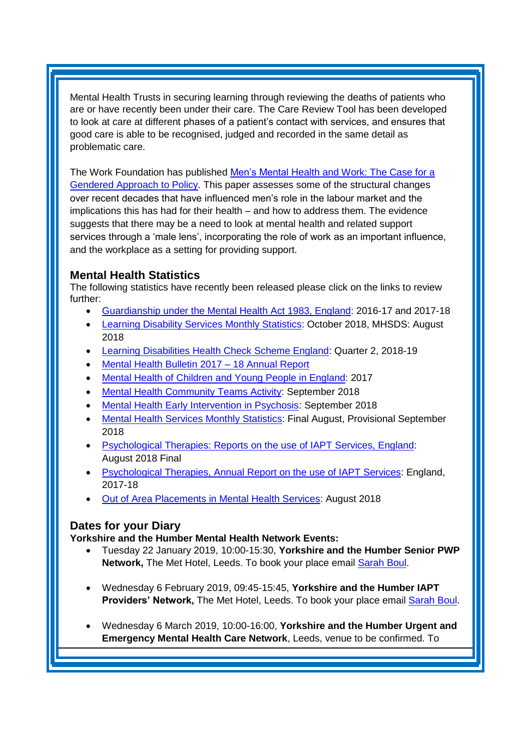Mental Health Trusts in securing learning through reviewing the deaths of patients who are or have recently been under their care. The Care Review Tool has been developed to look at care at different phases of a patient's contact with services, and ensures that good care is able to be recognised, judged and recorded in the same detail as problematic care.

The Work Foundation has published [Men's Mental Health and Work: The Case for a](http://www.theworkfoundation.com/wp-content/uploads/2016/10/mens_mental_health_work.pdf)  [Gendered Approach to Policy.](http://www.theworkfoundation.com/wp-content/uploads/2016/10/mens_mental_health_work.pdf) This paper assesses some of the structural changes over recent decades that have influenced men's role in the labour market and the implications this has had for their health – and how to address them. The evidence suggests that there may be a need to look at mental health and related support services through a 'male lens', incorporating the role of work as an important influence, and the workplace as a setting for providing support.

### <span id="page-4-0"></span>**Mental Health Statistics**

The following statistics have recently been released please click on the links to review further:

- <span id="page-4-1"></span>Guardianship under [the Mental Health Act 1983, England:](https://digital.nhs.uk/data-and-information/publications/statistical/guardianship-under-the-mental-health-act-1983/england-2016-17-and-2017-18-national-statistic) 2016-17 and 2017-18
- **[Learning Disability Services Monthly Statistics:](https://digital.nhs.uk/data-and-information/publications/statistical/learning-disability-services-statistics/provisional-statistics-at-october-2018-mhsds-august-2018-final) October 2018, MHSDS: August** 2018
- **[Learning Disabilities Health Check Scheme England:](https://digital.nhs.uk/data-and-information/publications/statistical/learning-disabilities-health-check-scheme/england-quarter-2-2018-19) Quarter 2, 2018-19**
- [Mental Health Bulletin 2017 –](https://digital.nhs.uk/data-and-information/publications/statistical/mental-health-bulletin/2017-18-annual-report) 18 Annual Report
- [Mental Health of Children and Young People in England:](https://digital.nhs.uk/data-and-information/publications/statistical/mental-health-of-children-and-young-people-in-england/2017/2017) 2017
- [Mental Health Community Teams Activity:](https://www.gov.uk/government/statistics/mental-health-community-teams-activity-for-quarter-ending-september-2018) September 2018
- [Mental Health Early Intervention in Psychosis:](https://www.gov.uk/government/statistics/mental-health-early-intervention-in-psychosis-for-september-2018) September 2018
- [Mental Health Services Monthly Statistics:](https://digital.nhs.uk/data-and-information/publications/statistical/mental-health-services-monthly-statistics/final-august-provisional-september-2018) Final August, Provisional September 2018
- [Psychological Therapies: Reports on the use of IAPT Services, England:](https://digital.nhs.uk/data-and-information/publications/statistical/psychological-therapies-report-on-the-use-of-iapt-services/august-2018-final-including-reports-on-the-iapt-pilots) August 2018 Final
- [Psychological Therapies, Annual Report on the use of IAPT Services:](https://digital.nhs.uk/data-and-information/publications/statistical/psychological-therapies-annual-reports-on-the-use-of-iapt-services/annual-report-2017---18) England, 2017-18
- [Out of Area Placements in Mental Health Services:](https://digital.nhs.uk/data-and-information/publications/statistical/out-of-area-placements-in-mental-health-services/august-2018) August 2018

### **Dates for your Diary**

#### **Yorkshire and the Humber Mental Health Network Events:**

- Tuesday 22 January 2019, 10:00-15:30, **Yorkshire and the Humber Senior PWP Network,** The Met Hotel, Leeds. To book your place email [Sarah Boul.](mailto:sarah.boul@nhs.net?subject=Senior%20PWP%20Network)
- Wednesday 6 February 2019, 09:45-15:45, **Yorkshire and the Humber IAPT Providers' Network,** The Met Hotel, Leeds. To book your place email [Sarah Boul.](mailto:sarah.boul@nhs.net?subject=IAPT%20Providers%20Network)
- Wednesday 6 March 2019, 10:00-16:00, **Yorkshire and the Humber Urgent and Emergency Mental Health Care Network**, Leeds, venue to be confirmed. To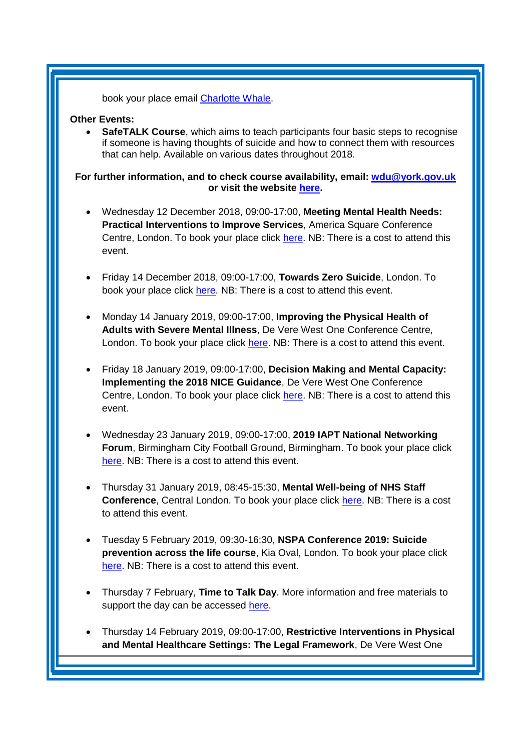book your place email [Charlotte Whale.](mailto:charlotte.whale@nhs.net)

#### **Other Events:**

 **SafeTALK Course**, which aims to teach participants four basic steps to recognise if someone is having thoughts of suicide and how to connect them with resources that can help. Available on various dates throughout 2018.

**For further information, and to check course availability, email: [wdu@york.gov.uk](mailto:wdu@york.gov.uk) or visit the website [here.](http://www.yorkworkforcedevelopment.org.uk/)**

- Wednesday 12 December 2018, 09:00-17:00, **Meeting Mental Health Needs: Practical Interventions to Improve Services**, America Square Conference Centre, London. To book your place click [here.](https://openforumevents.co.uk/events/2018/meeting-mental-health-needs-practical-interventions-to-improve-services/?utm_source=OFE+S3.1+MH18+LDN+WC+27.08.2018+NHS+4&utm_medium=email&utm_campaign=OFE+S3.1+MH18+LDN+WC+27.08.2018) NB: There is a cost to attend this event.
- Friday 14 December 2018, 09:00-17:00, **Towards Zero Suicide**, London. To book your place click [here.](https://www.healthcareconferencesuk.co.uk/event/1224/book) NB: There is a cost to attend this event.
- Monday 14 January 2019, 09:00-17:00, **Improving the Physical Health of Adults with Severe Mental Illness**, De Vere West One Conference Centre, London. To book your place click [here.](https://www.healthcareconferencesuk.co.uk/event/1391/book) NB: There is a cost to attend this event.
- Friday 18 January 2019, 09:00-17:00, **Decision Making and Mental Capacity: Implementing the 2018 NICE Guidance**, De Vere West One Conference Centre, London. To book your place click [here.](https://www.healthcareconferencesuk.co.uk/decision-making-and-mental-capacity-2019) NB: There is a cost to attend this event.
- Wednesday 23 January 2019, 09:00-17:00, **2019 IAPT National Networking Forum**, Birmingham City Football Ground, Birmingham. To book your place click [here.](http://www.iapt-nnf.co.uk/booking/index/97/?utm_source=SBK%20Healthcare&utm_medium=email&utm_campaign=9813357_1901PT%201st%20email&dm_i=1SB0,5UC19,MCTTTA,MTWPG,1) NB: There is a cost to attend this event.
- Thursday 31 January 2019, 08:45-15:30, **Mental Well-being of NHS Staff Conference**, Central London. To book your place click [here.](https://westminsterinsight.com/booking/3231/NHMHEO-1900096) NB: There is a cost to attend this event.
- Tuesday 5 February 2019, 09:30-16:30, **NSPA Conference 2019: Suicide prevention across the life course**, Kia Oval, London. To book your place click [here.](https://www.eventbrite.co.uk/e/nspa-conference-2019-suicide-prevention-across-the-life-course-tickets-52083097948?aff=Supporters) NB: There is a cost to attend this event.
- Thursday 7 February, **Time to Talk Day**. More information and free materials to support the day can be accessed [here.](https://www.time-to-change.org.uk/get-involved/timetotalkday-2019)
- Thursday 14 February 2019, 09:00-17:00, **Restrictive Interventions in Physical and Mental Healthcare Settings: The Legal Framework**, De Vere West One